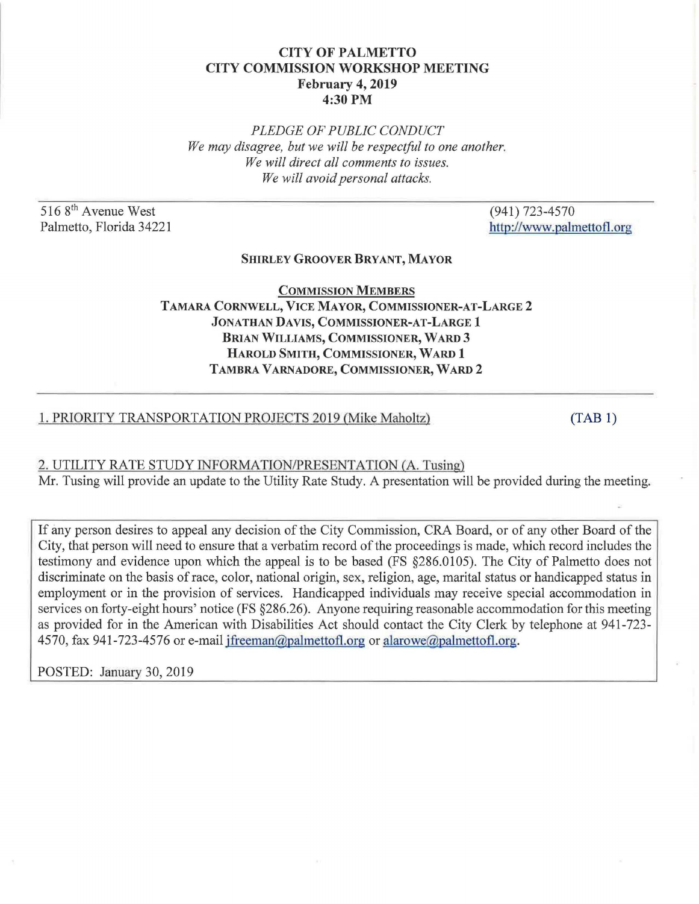# CITY OF PALMETTO CITY COMMISSION WORKSHOP MEETING February 4, 2019 4:30PM

*PLEDGE OF PUBLIC CONDUCT We may disagree, but we will be respectful to one another. We will direct all comments to issues. We will avoid personal attacks.* 

516 8<sup>th</sup> Avenue West Palmetto, Florida 34221 (941) 723-4570 http://www.palmettofl.org

## SHIRLEY GROOVER BRYANT, MAYOR

COMMISSION MEMBERS TAMARA CORNWELL, VICE MAYOR, COMMISSIONER-AT-LARGE 2 JONATHAN DAVIS, COMMISSIONER-AT-LARGE 1 BRIAN WILLIAMS, COMMISSIONER, WARD 3 HAROLD SMITH, COMMISSIONER, WARD 1 TAMBRA VARNADORE, COMMISSIONER, WARD 2

## 1. PRIORITY TRANSPORTATION PROJECTS 2019 (Mike Maholtz)

[\(TAB 1\)](#page-1-0) 

### 2. UTILITY RATE STUDY INFORMATION/PRESENTATION (A. Tusing)

Mr. Tusing will provide an update to the Utility Rate Study. A presentation will be provided during the meeting.

If any person desires to appeal any decision of the City Commission, CRA Board, or of any other Board of the City, that person will need to ensure that a verbatim record of the proceedings is made, which record includes the testimony and evidence upon which the appeal is to be based (FS §286.0105). The City of Palmetto does not discriminate on the basis of race, color, national origin, sex, religion, age, marital status or handicapped status in employment or in the provision of services. Handicapped individuals may receive special accommodation in services on forty-eight hours' notice (FS §286.26). Anyone requiring reasonable accommodation for this meeting as provided for in the American with Disabilities Act should contact the City Clerk by telephone at 941-723- 4570, fax 941-723-4576 or e-mail jfreeman@palmettofl.org or alarowe@palmettofl.org.

POSTED: January 30, 2019